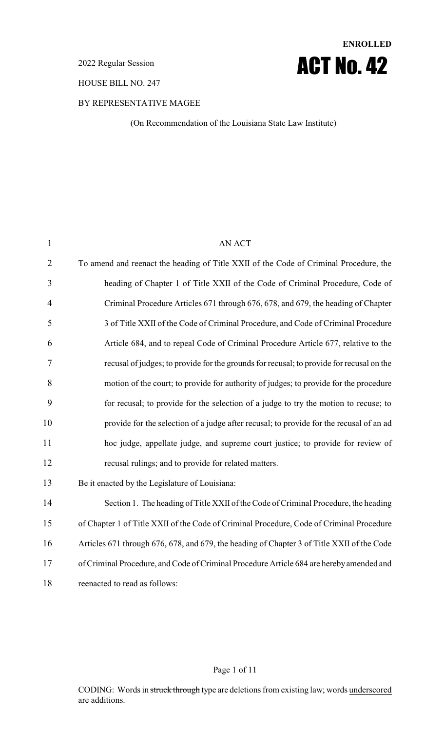#### 2022 Regular Session

HOUSE BILL NO. 247

## BY REPRESENTATIVE MAGEE

(On Recommendation of the Louisiana State Law Institute)

**ENROLLED**

ACT No. 42

| $\mathbf{1}$   | <b>AN ACT</b>                                                                              |
|----------------|--------------------------------------------------------------------------------------------|
| $\overline{2}$ | To amend and reenact the heading of Title XXII of the Code of Criminal Procedure, the      |
| 3              | heading of Chapter 1 of Title XXII of the Code of Criminal Procedure, Code of              |
| $\overline{4}$ | Criminal Procedure Articles 671 through 676, 678, and 679, the heading of Chapter          |
| 5              | 3 of Title XXII of the Code of Criminal Procedure, and Code of Criminal Procedure          |
| 6              | Article 684, and to repeal Code of Criminal Procedure Article 677, relative to the         |
| 7              | recusal of judges; to provide for the grounds for recusal; to provide for recusal on the   |
| 8              | motion of the court; to provide for authority of judges; to provide for the procedure      |
| 9              | for recusal; to provide for the selection of a judge to try the motion to recuse; to       |
| 10             | provide for the selection of a judge after recusal; to provide for the recusal of an ad    |
| 11             | hoc judge, appellate judge, and supreme court justice; to provide for review of            |
| 12             | recusal rulings; and to provide for related matters.                                       |
| 13             | Be it enacted by the Legislature of Louisiana:                                             |
| 14             | Section 1. The heading of Title XXII of the Code of Criminal Procedure, the heading        |
| 15             | of Chapter 1 of Title XXII of the Code of Criminal Procedure, Code of Criminal Procedure   |
| 16             | Articles 671 through 676, 678, and 679, the heading of Chapter 3 of Title XXII of the Code |
| 17             | of Criminal Procedure, and Code of Criminal Procedure Article 684 are hereby amended and   |
| 18             | reenacted to read as follows:                                                              |
|                |                                                                                            |

### Page 1 of 11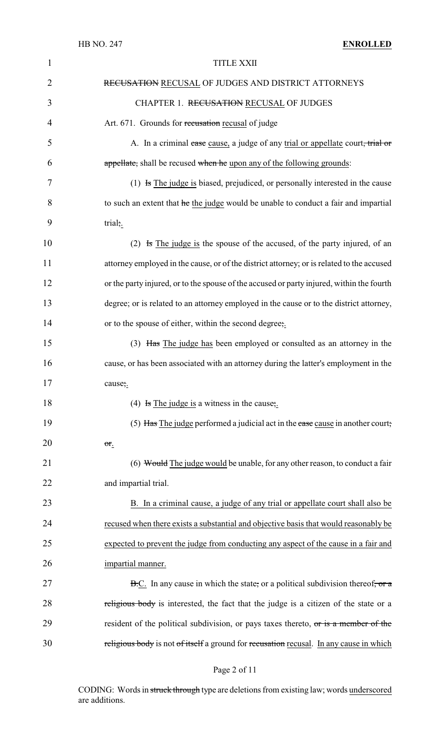| $\mathbf{1}$   | <b>TITLE XXII</b>                                                                            |
|----------------|----------------------------------------------------------------------------------------------|
| $\overline{2}$ | RECUSATION RECUSAL OF JUDGES AND DISTRICT ATTORNEYS                                          |
| 3              | CHAPTER 1. RECUSATION RECUSAL OF JUDGES                                                      |
| $\overline{4}$ | Art. 671. Grounds for recusation recusal of judge                                            |
| 5              | A. In a criminal case cause, a judge of any trial or appellate court, trial or               |
| 6              | appellate, shall be recused when he upon any of the following grounds:                       |
| 7              | (1) $\overline{1}$ is The judge is biased, prejudiced, or personally interested in the cause |
| 8              | to such an extent that he the judge would be unable to conduct a fair and impartial          |
| 9              | trial;                                                                                       |
| 10             | (2) Is The judge is the spouse of the accused, of the party injured, of an                   |
| 11             | attorney employed in the cause, or of the district attorney; or is related to the accused    |
| 12             | or the party injured, or to the spouse of the accused or party injured, within the fourth    |
| 13             | degree; or is related to an attorney employed in the cause or to the district attorney,      |
| 14             | or to the spouse of either, within the second degree,.                                       |
| 15             | (3) Has The judge has been employed or consulted as an attorney in the                       |
| 16             | cause, or has been associated with an attorney during the latter's employment in the         |
| 17             | cause;.                                                                                      |
| 18             | (4) Is The judge is a witness in the cause;                                                  |
| 19             | (5) Has The judge performed a judicial act in the case cause in another court;               |
| 20             | or.                                                                                          |
| 21             | (6) Would The judge would be unable, for any other reason, to conduct a fair                 |
| 22             | and impartial trial.                                                                         |
| 23             | B. In a criminal cause, a judge of any trial or appellate court shall also be                |
| 24             | recused when there exists a substantial and objective basis that would reasonably be         |
| 25             | expected to prevent the judge from conducting any aspect of the cause in a fair and          |
| 26             | impartial manner.                                                                            |
| 27             | B.C. In any cause in which the state, or a political subdivision thereof, or a               |
| 28             | religious body is interested, the fact that the judge is a citizen of the state or a         |
| 29             | resident of the political subdivision, or pays taxes thereto, or is a member of the          |
| 30             | religious body is not of itself a ground for recusation recusal. In any cause in which       |

# Page 2 of 11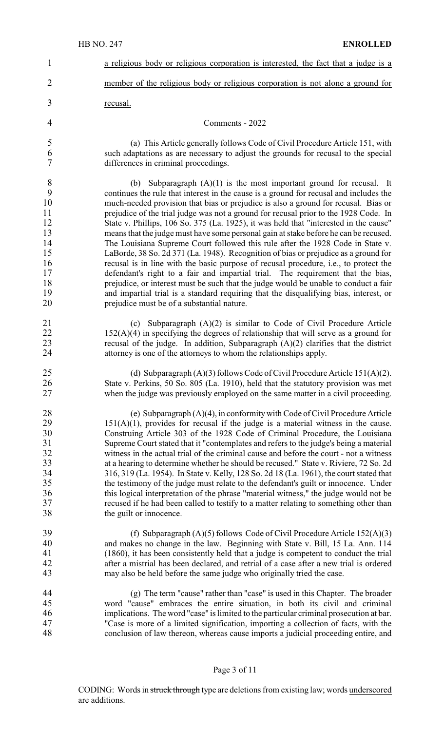| $\mathbf{1}$                                                                 | a religious body or religious corporation is interested, the fact that a judge is a                                                                                                                                                                                                                                                                                                                                                                                                                                                                                                                                                                                                                                                                                                                                                                                                                                                                                                                                                                                                                                           |
|------------------------------------------------------------------------------|-------------------------------------------------------------------------------------------------------------------------------------------------------------------------------------------------------------------------------------------------------------------------------------------------------------------------------------------------------------------------------------------------------------------------------------------------------------------------------------------------------------------------------------------------------------------------------------------------------------------------------------------------------------------------------------------------------------------------------------------------------------------------------------------------------------------------------------------------------------------------------------------------------------------------------------------------------------------------------------------------------------------------------------------------------------------------------------------------------------------------------|
| $\overline{2}$                                                               | member of the religious body or religious corporation is not alone a ground for                                                                                                                                                                                                                                                                                                                                                                                                                                                                                                                                                                                                                                                                                                                                                                                                                                                                                                                                                                                                                                               |
| 3                                                                            | recusal.                                                                                                                                                                                                                                                                                                                                                                                                                                                                                                                                                                                                                                                                                                                                                                                                                                                                                                                                                                                                                                                                                                                      |
| 4                                                                            | Comments - 2022                                                                                                                                                                                                                                                                                                                                                                                                                                                                                                                                                                                                                                                                                                                                                                                                                                                                                                                                                                                                                                                                                                               |
| 5<br>6<br>$\overline{7}$                                                     | (a) This Article generally follows Code of Civil Procedure Article 151, with<br>such adaptations as are necessary to adjust the grounds for recusal to the special<br>differences in criminal proceedings.                                                                                                                                                                                                                                                                                                                                                                                                                                                                                                                                                                                                                                                                                                                                                                                                                                                                                                                    |
| $8\,$<br>9<br>10<br>11<br>12<br>13<br>14<br>15<br>16<br>17<br>18<br>19<br>20 | Subparagraph $(A)(1)$ is the most important ground for recusal. It<br>(b)<br>continues the rule that interest in the cause is a ground for recusal and includes the<br>much-needed provision that bias or prejudice is also a ground for recusal. Bias or<br>prejudice of the trial judge was not a ground for recusal prior to the 1928 Code. In<br>State v. Phillips, 106 So. 375 (La. 1925), it was held that "interested in the cause"<br>means that the judge must have some personal gain at stake before he can be recused.<br>The Louisiana Supreme Court followed this rule after the 1928 Code in State v.<br>LaBorde, 38 So. 2d 371 (La. 1948). Recognition of bias or prejudice as a ground for<br>recusal is in line with the basic purpose of recusal procedure, <i>i.e.</i> , to protect the<br>defendant's right to a fair and impartial trial. The requirement that the bias,<br>prejudice, or interest must be such that the judge would be unable to conduct a fair<br>and impartial trial is a standard requiring that the disqualifying bias, interest, or<br>prejudice must be of a substantial nature. |
| 21<br>22<br>23<br>24                                                         | Subparagraph (A)(2) is similar to Code of Civil Procedure Article<br>(c)<br>$152(A)(4)$ in specifying the degrees of relationship that will serve as a ground for<br>recusal of the judge. In addition, Subparagraph $(A)(2)$ clarifies that the district<br>attorney is one of the attorneys to whom the relationships apply.                                                                                                                                                                                                                                                                                                                                                                                                                                                                                                                                                                                                                                                                                                                                                                                                |
| 25<br>26<br>27                                                               | (d) Subparagraph $(A)(3)$ follows Code of Civil Procedure Article 151 $(A)(2)$ .<br>State v. Perkins, 50 So. 805 (La. 1910), held that the statutory provision was met<br>when the judge was previously employed on the same matter in a civil proceeding.                                                                                                                                                                                                                                                                                                                                                                                                                                                                                                                                                                                                                                                                                                                                                                                                                                                                    |
| 28<br>29<br>30<br>31<br>32<br>33<br>34<br>35<br>36<br>37<br>38               | (e) Subparagraph $(A)(4)$ , in conformity with Code of Civil Procedure Article<br>$151(A)(1)$ , provides for recusal if the judge is a material witness in the cause.<br>Construing Article 303 of the 1928 Code of Criminal Procedure, the Louisiana<br>Supreme Court stated that it "contemplates and refers to the judge's being a material<br>witness in the actual trial of the criminal cause and before the court - not a witness<br>at a hearing to determine whether he should be recused." State v. Riviere, 72 So. 2d<br>316, 319 (La. 1954). In State v. Kelly, 128 So. 2d 18 (La. 1961), the court stated that<br>the testimony of the judge must relate to the defendant's guilt or innocence. Under<br>this logical interpretation of the phrase "material witness," the judge would not be<br>recused if he had been called to testify to a matter relating to something other than<br>the guilt or innocence.                                                                                                                                                                                                |
| 39<br>40<br>41<br>42<br>43                                                   | (f) Subparagraph $(A)(5)$ follows Code of Civil Procedure Article 152 $(A)(3)$<br>and makes no change in the law. Beginning with State v. Bill, 15 La. Ann. 114<br>(1860), it has been consistently held that a judge is competent to conduct the trial<br>after a mistrial has been declared, and retrial of a case after a new trial is ordered<br>may also be held before the same judge who originally tried the case.                                                                                                                                                                                                                                                                                                                                                                                                                                                                                                                                                                                                                                                                                                    |
| 44<br>45<br>46<br>47<br>48                                                   | (g) The term "cause" rather than "case" is used in this Chapter. The broader<br>word "cause" embraces the entire situation, in both its civil and criminal<br>implications. The word "case" is limited to the particular criminal prosecution at bar.<br>"Case is more of a limited signification, importing a collection of facts, with the<br>conclusion of law thereon, whereas cause imports a judicial proceeding entire, and                                                                                                                                                                                                                                                                                                                                                                                                                                                                                                                                                                                                                                                                                            |

# Page 3 of 11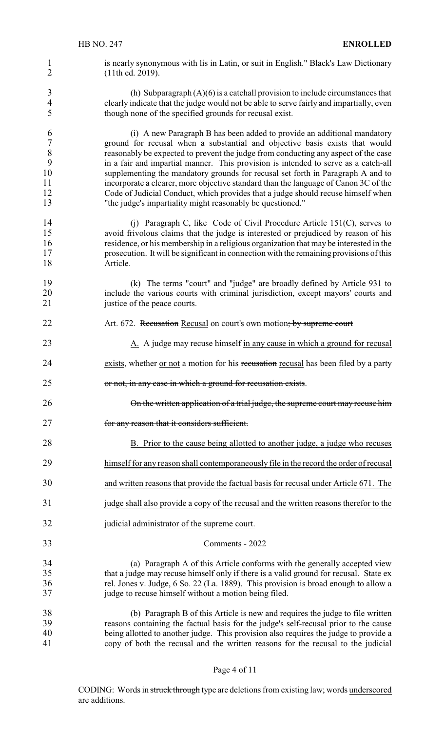1 is nearly synonymous with lis in Latin, or suit in English." Black's Law Dictionary 2 (11th ed. 2019).

3 (h) Subparagraph  $(A)(6)$  is a catchall provision to include circumstances that 4 clearly indicate that the judge would not be able to serve fairly and impartially, even 5 though none of the specified grounds for recusal exist.

 (i) A new Paragraph B has been added to provide an additional mandatory 7 ground for recusal when a substantial and objective basis exists that would<br>8 reasonably be expected to prevent the judge from conducting any aspect of the case 8 reasonably be expected to prevent the judge from conducting any aspect of the case<br>9 in a fair and impartial manner. This provision is intended to serve as a catch-all in a fair and impartial manner. This provision is intended to serve as a catch-all supplementing the mandatory grounds for recusal set forth in Paragraph A and to incorporate a clearer, more objective standard than the language of Canon 3C of the Code of Judicial Conduct, which provides that a judge should recuse himself when "the judge's impartiality might reasonably be questioned."

- 14 (j) Paragraph C, like Code of Civil Procedure Article 151(C), serves to 15 avoid frivolous claims that the judge is interested or prejudiced by reason of his residence, or his membership in a religious organization that may be interested in the residence, or his membership in a religious organization that may be interested in the 17 prosecution. It will be significant in connection with the remaining provisions of this 18 Article.
- 19 (k) The terms "court" and "judge" are broadly defined by Article 931 to 20 include the various courts with criminal jurisdiction, except mayors' courts and institute of the peace courts. justice of the peace courts.
- 22 Art. 672. Recusation Recusal on court's own motion; by supreme court
- 23 A. A judge may recuse himself in any cause in which a ground for recusal
- 24 exists, whether <u>or not</u> a motion for his recusation recusal has been filed by a party
- 25 or not, in any case in which a ground for recusation exists.

26 On the written application of a trial judge, the supreme court may recuse him

- 27 **for any reason that it considers sufficient.**
- 28 B. Prior to the cause being allotted to another judge, a judge who recuses
- 29 himself for any reason shall contemporaneously file in the record the order of recusal
- 30 and written reasons that provide the factual basis for recusal under Article 671. The
- 31 judge shall also provide a copy of the recusal and the written reasons therefor to the
- 32 judicial administrator of the supreme court.

#### 33 Comments - 2022

34 (a) Paragraph A of this Article conforms with the generally accepted view 35 that a judge may recuse himself only if there is a valid ground for recusal. State ex 36 rel. Jones v. Judge, 6 So. 22 (La. 1889). This provision is broad enough to allow a judge to recuse himself without a motion being filed. judge to recuse himself without a motion being filed.

 (b) Paragraph B of this Article is new and requires the judge to file written reasons containing the factual basis for the judge's self-recusal prior to the cause being allotted to another judge. This provision also requires the judge to provide a copy of both the recusal and the written reasons for the recusal to the judicial

#### Page 4 of 11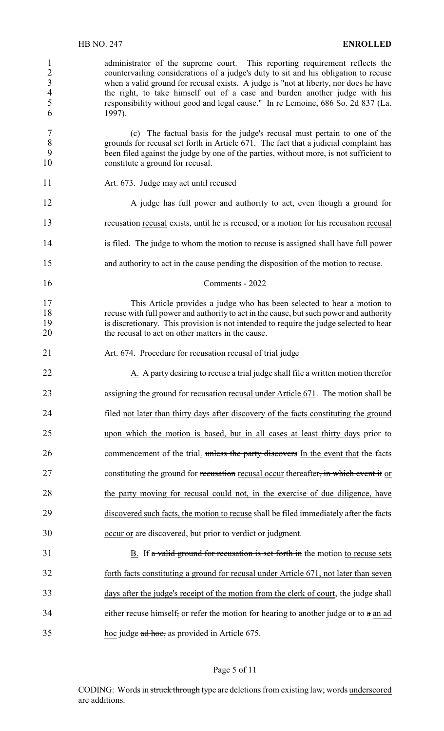1 administrator of the supreme court. This reporting requirement reflects the countervailing considerations of a judge's duty to sit and his obligation to recuse 2 countervailing considerations of a judge's duty to sit and his obligation to recuse<br>3 when a valid ground for recusal exists. A judge is "not at liberty, nor does he have 3 when a valid ground for recusal exists. A judge is "not at liberty, nor does he have<br>4 the right, to take himself out of a case and burden another judge with his 4 the right, to take himself out of a case and burden another judge with his responsibility without good and legal cause." In re Lemoine, 686 So. 2d 837 (La. 5 responsibility without good and legal cause." In re Lemoine, 686 So. 2d 837 (La. 6 1997). 7 (c) The factual basis for the judge's recusal must pertain to one of the grounds for recusal set forth in Article 671. The fact that a judicial complaint has grounds for recusal set forth in Article 671. The fact that a judicial complaint has 9 been filed against the judge by one of the parties, without more, is not sufficient to 10 constitute a ground for recusal. 11 Art. 673. Judge may act until recused 12 A judge has full power and authority to act, even though a ground for 13 recusation recusal exists, until he is recused, or a motion for his recusation recusal 14 is filed. The judge to whom the motion to recuse is assigned shall have full power 15 and authority to act in the cause pending the disposition of the motion to recuse. 16 Comments - 2022 17 This Article provides a judge who has been selected to hear a motion to 18 recuse with full power and authority to act in the cause, but such power and authority 19 is discretionary. This provision is not intended to require the judge selected to hear 20 the recusal to act on other matters in the cause. 21 Art. 674. Procedure for recusation recusal of trial judge 22 A. A party desiring to recuse a trial judge shall file a written motion therefor 23 assigning the ground for recusation recusal under Article 671. The motion shall be 24 filed not later than thirty days after discovery of the facts constituting the ground 25 upon which the motion is based, but in all cases at least thirty days prior to 26 commencement of the trial. unless the party discovers In the event that the facts 27 constituting the ground for recusation recusal occur thereafter, in which event it or 28 the party moving for recusal could not, in the exercise of due diligence, have 29 discovered such facts, the motion to recuse shall be filed immediately after the facts 30 occur or are discovered, but prior to verdict or judgment. 31 B. If a valid ground for recusation is set forth in the motion to recuse sets 32 forth facts constituting a ground for recusal under Article 671, not later than seven 33 days after the judge's receipt of the motion from the clerk of court, the judge shall 34 either recuse himself, or refer the motion for hearing to another judge or to  $\alpha$  an ad 35 hoc judge ad hoc, as provided in Article 675.

#### Page 5 of 11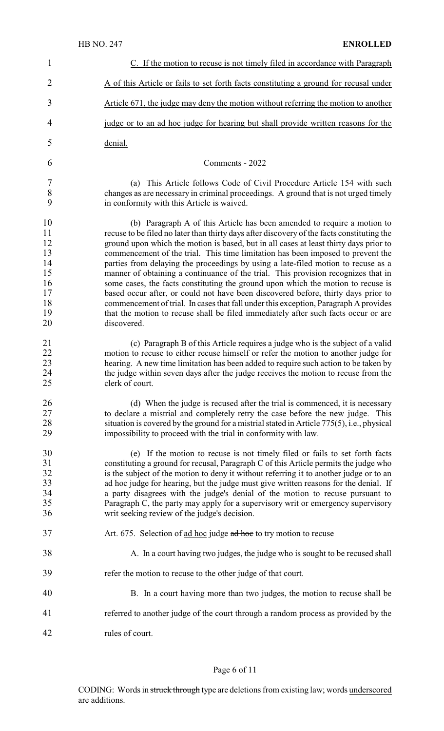| $\mathbf{1}$                                                   | C. If the motion to recuse is not timely filed in accordance with Paragraph                                                                                                                                                                                                                                                                                                                                                                                                                                                                                                                                                                                                                                                                                                                                                                                                                       |
|----------------------------------------------------------------|---------------------------------------------------------------------------------------------------------------------------------------------------------------------------------------------------------------------------------------------------------------------------------------------------------------------------------------------------------------------------------------------------------------------------------------------------------------------------------------------------------------------------------------------------------------------------------------------------------------------------------------------------------------------------------------------------------------------------------------------------------------------------------------------------------------------------------------------------------------------------------------------------|
| $\overline{2}$                                                 | A of this Article or fails to set forth facts constituting a ground for recusal under                                                                                                                                                                                                                                                                                                                                                                                                                                                                                                                                                                                                                                                                                                                                                                                                             |
| 3                                                              | Article 671, the judge may deny the motion without referring the motion to another                                                                                                                                                                                                                                                                                                                                                                                                                                                                                                                                                                                                                                                                                                                                                                                                                |
| 4                                                              | judge or to an ad hoc judge for hearing but shall provide written reasons for the                                                                                                                                                                                                                                                                                                                                                                                                                                                                                                                                                                                                                                                                                                                                                                                                                 |
| 5                                                              | denial.                                                                                                                                                                                                                                                                                                                                                                                                                                                                                                                                                                                                                                                                                                                                                                                                                                                                                           |
| 6                                                              | Comments - 2022                                                                                                                                                                                                                                                                                                                                                                                                                                                                                                                                                                                                                                                                                                                                                                                                                                                                                   |
| 7<br>8<br>9                                                    | (a) This Article follows Code of Civil Procedure Article 154 with such<br>changes as are necessary in criminal proceedings. A ground that is not urged timely<br>in conformity with this Article is waived.                                                                                                                                                                                                                                                                                                                                                                                                                                                                                                                                                                                                                                                                                       |
| 10<br>11<br>12<br>13<br>14<br>15<br>16<br>17<br>18<br>19<br>20 | (b) Paragraph A of this Article has been amended to require a motion to<br>recuse to be filed no later than thirty days after discovery of the facts constituting the<br>ground upon which the motion is based, but in all cases at least thirty days prior to<br>commencement of the trial. This time limitation has been imposed to prevent the<br>parties from delaying the proceedings by using a late-filed motion to recuse as a<br>manner of obtaining a continuance of the trial. This provision recognizes that in<br>some cases, the facts constituting the ground upon which the motion to recuse is<br>based occur after, or could not have been discovered before, thirty days prior to<br>commencement of trial. In cases that fall under this exception, Paragraph A provides<br>that the motion to recuse shall be filed immediately after such facts occur or are<br>discovered. |
| 21<br>22<br>23<br>24<br>25                                     | (c) Paragraph B of this Article requires a judge who is the subject of a valid<br>motion to recuse to either recuse himself or refer the motion to another judge for<br>hearing. A new time limitation has been added to require such action to be taken by<br>the judge within seven days after the judge receives the motion to recuse from the<br>clerk of court.                                                                                                                                                                                                                                                                                                                                                                                                                                                                                                                              |
| 26<br>27<br>28<br>29                                           | (d) When the judge is recused after the trial is commenced, it is necessary<br>to declare a mistrial and completely retry the case before the new judge. This<br>situation is covered by the ground for a mistrial stated in Article 775(5), i.e., physical<br>impossibility to proceed with the trial in conformity with law.                                                                                                                                                                                                                                                                                                                                                                                                                                                                                                                                                                    |
| 30<br>31<br>32<br>33<br>34<br>35<br>36                         | (e) If the motion to recuse is not timely filed or fails to set forth facts<br>constituting a ground for recusal, Paragraph C of this Article permits the judge who<br>is the subject of the motion to deny it without referring it to another judge or to an<br>ad hoc judge for hearing, but the judge must give written reasons for the denial. If<br>a party disagrees with the judge's denial of the motion to recuse pursuant to<br>Paragraph C, the party may apply for a supervisory writ or emergency supervisory<br>writ seeking review of the judge's decision.                                                                                                                                                                                                                                                                                                                        |
| 37                                                             | Art. 675. Selection of ad hoc judge ad hoc to try motion to recuse                                                                                                                                                                                                                                                                                                                                                                                                                                                                                                                                                                                                                                                                                                                                                                                                                                |
| 38                                                             | A. In a court having two judges, the judge who is sought to be recused shall                                                                                                                                                                                                                                                                                                                                                                                                                                                                                                                                                                                                                                                                                                                                                                                                                      |
| 39                                                             | refer the motion to recuse to the other judge of that court.                                                                                                                                                                                                                                                                                                                                                                                                                                                                                                                                                                                                                                                                                                                                                                                                                                      |
| 40                                                             | B. In a court having more than two judges, the motion to recuse shall be                                                                                                                                                                                                                                                                                                                                                                                                                                                                                                                                                                                                                                                                                                                                                                                                                          |
| 41                                                             | referred to another judge of the court through a random process as provided by the                                                                                                                                                                                                                                                                                                                                                                                                                                                                                                                                                                                                                                                                                                                                                                                                                |
| 42                                                             | rules of court.                                                                                                                                                                                                                                                                                                                                                                                                                                                                                                                                                                                                                                                                                                                                                                                                                                                                                   |

# Page 6 of 11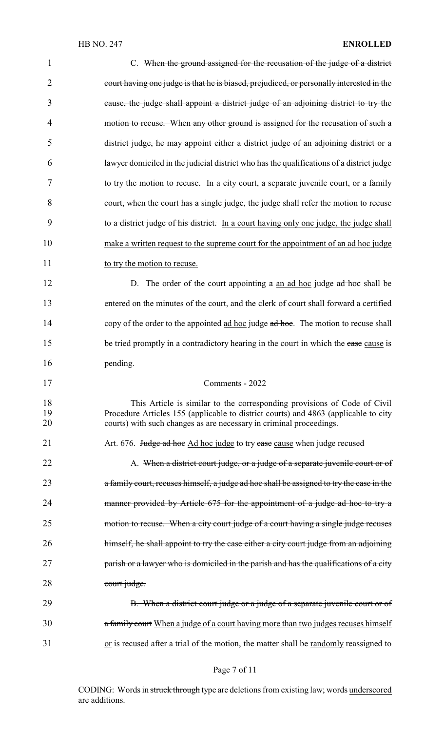## HB NO. 247 **ENROLLED**

| 1              | C. When the ground assigned for the recusation of the judge of a district                                                                                                                                                              |
|----------------|----------------------------------------------------------------------------------------------------------------------------------------------------------------------------------------------------------------------------------------|
| $\overline{2}$ | court having one judge is that he is biased, prejudiced, or personally interested in the                                                                                                                                               |
| 3              | cause, the judge shall appoint a district judge of an adjoining district to try the                                                                                                                                                    |
| 4              | motion to recuse. When any other ground is assigned for the recusation of such a                                                                                                                                                       |
| 5              | district judge, he may appoint either a district judge of an adjoining district or a                                                                                                                                                   |
| 6              | lawyer domiciled in the judicial district who has the qualifications of a district judge                                                                                                                                               |
| 7              | to try the motion to recuse. In a city court, a separate juvenile court, or a family                                                                                                                                                   |
| 8              | court, when the court has a single judge, the judge shall refer the motion to recuse                                                                                                                                                   |
| 9              | to a district judge of his district. In a court having only one judge, the judge shall                                                                                                                                                 |
| 10             | make a written request to the supreme court for the appointment of an ad hoc judge                                                                                                                                                     |
| 11             | to try the motion to recuse.                                                                                                                                                                                                           |
| 12             | D. The order of the court appointing $a$ an ad hoc judge $ad$ hoc shall be                                                                                                                                                             |
| 13             | entered on the minutes of the court, and the clerk of court shall forward a certified                                                                                                                                                  |
| 14             | copy of the order to the appointed ad hoc judge ad hoc. The motion to recuse shall                                                                                                                                                     |
| 15             | be tried promptly in a contradictory hearing in the court in which the case cause is                                                                                                                                                   |
| 16             | pending.                                                                                                                                                                                                                               |
| 17             | Comments - 2022                                                                                                                                                                                                                        |
| 18<br>19<br>20 | This Article is similar to the corresponding provisions of Code of Civil<br>Procedure Articles 155 (applicable to district courts) and 4863 (applicable to city<br>courts) with such changes as are necessary in criminal proceedings. |
| 21             | Art. 676. Judge ad hoc Ad hoc judge to try case cause when judge recused                                                                                                                                                               |
| 22             | A. When a district court judge, or a judge of a separate juvenile court or of                                                                                                                                                          |
| 23             | a family court, recuses himself, a judge ad hoc shall be assigned to try the case in the                                                                                                                                               |
| 24             | manner provided by Article 675 for the appointment of a judge ad hoc to try a                                                                                                                                                          |
| 25             | motion to recuse. When a city court judge of a court having a single judge recuses                                                                                                                                                     |
| 26             | himself, he shall appoint to try the case either a city court judge from an adjoining                                                                                                                                                  |
| 27             | parish or a lawyer who is domiciled in the parish and has the qualifications of a city                                                                                                                                                 |
| 28             | court judge.                                                                                                                                                                                                                           |
| 29             | B. When a district court judge or a judge of a separate juvenile court or of                                                                                                                                                           |
| 30             | a family court When a judge of a court having more than two judges recuses himself                                                                                                                                                     |
| 31             | or is recused after a trial of the motion, the matter shall be randomly reassigned to                                                                                                                                                  |
|                |                                                                                                                                                                                                                                        |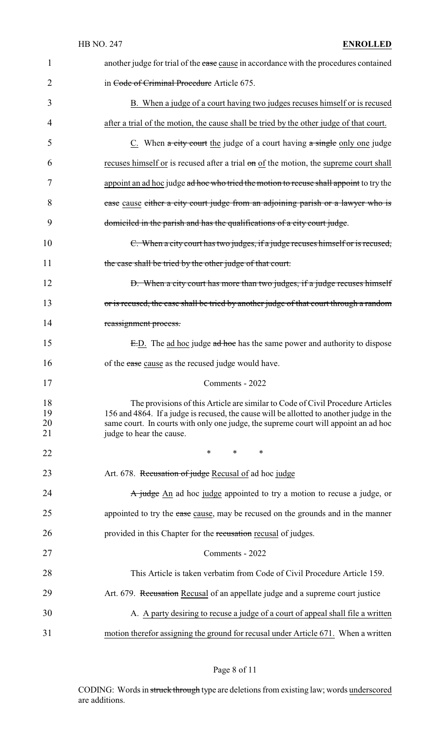| 1                    | another judge for trial of the case cause in accordance with the procedures contained                                                                                                                                                                                                        |
|----------------------|----------------------------------------------------------------------------------------------------------------------------------------------------------------------------------------------------------------------------------------------------------------------------------------------|
| 2                    | in Code of Criminal Procedure Article 675.                                                                                                                                                                                                                                                   |
| 3                    | B. When a judge of a court having two judges recuses himself or is recused                                                                                                                                                                                                                   |
| $\overline{4}$       | after a trial of the motion, the cause shall be tried by the other judge of that court.                                                                                                                                                                                                      |
| 5                    | $C$ . When $\alpha$ city court the judge of a court having $\alpha$ single only one judge                                                                                                                                                                                                    |
| 6                    | recuses himself or is recused after a trial on of the motion, the supreme court shall                                                                                                                                                                                                        |
| 7                    | appoint an ad hoc judge ad hoc who tried the motion to recuse shall appoint to try the                                                                                                                                                                                                       |
| 8                    | case cause either a city court judge from an adjoining parish or a lawyer who is                                                                                                                                                                                                             |
| 9                    | domiciled in the parish and has the qualifications of a city court judge.                                                                                                                                                                                                                    |
| 10                   | C. When a city court has two judges, if a judge recuses himself or is recused,                                                                                                                                                                                                               |
| 11                   | the case shall be tried by the other judge of that court.                                                                                                                                                                                                                                    |
| 12                   | D. When a city court has more than two judges, if a judge recuses himself                                                                                                                                                                                                                    |
| 13                   | or is recused, the case shall be tried by another judge of that court through a random                                                                                                                                                                                                       |
| 14                   | reassignment process.                                                                                                                                                                                                                                                                        |
| 15                   | E.D. The ad hoc judge ad hoc has the same power and authority to dispose                                                                                                                                                                                                                     |
| 16                   | of the case cause as the recused judge would have.                                                                                                                                                                                                                                           |
| 17                   | Comments - 2022                                                                                                                                                                                                                                                                              |
| 18<br>19<br>20<br>21 | The provisions of this Article are similar to Code of Civil Procedure Articles<br>156 and 4864. If a judge is recused, the cause will be allotted to another judge in the<br>same court. In courts with only one judge, the supreme court will appoint an ad hoc<br>judge to hear the cause. |
| 22                   | ∗<br>∗<br>∗                                                                                                                                                                                                                                                                                  |
| 23                   | Art. 678. Recusation of judge Recusal of ad hoc judge                                                                                                                                                                                                                                        |
| 24                   | A judge An ad hoc judge appointed to try a motion to recuse a judge, or                                                                                                                                                                                                                      |
| 25                   | appointed to try the case cause, may be recused on the grounds and in the manner                                                                                                                                                                                                             |
| 26                   | provided in this Chapter for the recurrection recursal of judges.                                                                                                                                                                                                                            |
| 27                   | Comments - 2022                                                                                                                                                                                                                                                                              |
| 28                   | This Article is taken verbatim from Code of Civil Procedure Article 159.                                                                                                                                                                                                                     |
| 29                   | Art. 679. Recusation Recusal of an appellate judge and a supreme court justice                                                                                                                                                                                                               |
| 30                   | A. A party desiring to recuse a judge of a court of appeal shall file a written                                                                                                                                                                                                              |
| 31                   | motion therefor assigning the ground for recusal under Article 671. When a written                                                                                                                                                                                                           |

# Page 8 of 11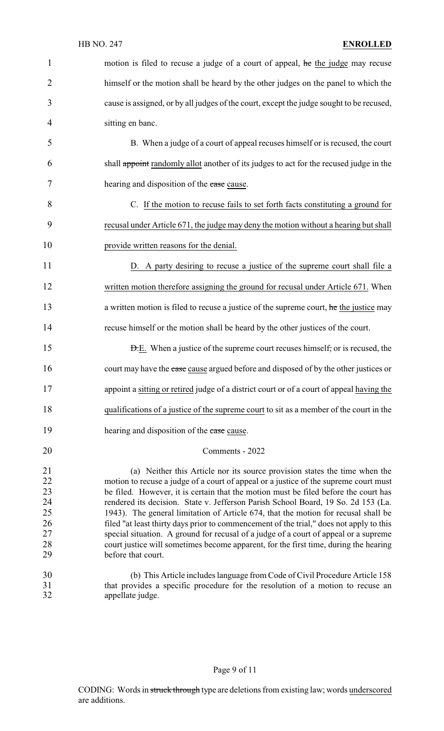| $\mathbf{1}$               | motion is filed to recuse a judge of a court of appeal, he the judge may recuse                                                                               |
|----------------------------|---------------------------------------------------------------------------------------------------------------------------------------------------------------|
| 2                          | himself or the motion shall be heard by the other judges on the panel to which the                                                                            |
| 3                          | cause is assigned, or by all judges of the court, except the judge sought to be recused,                                                                      |
| 4                          | sitting en banc.                                                                                                                                              |
| 5                          | B. When a judge of a court of appeal recuses himself or is recused, the court                                                                                 |
| 6                          | shall appoint randomly allot another of its judges to act for the recused judge in the                                                                        |
| 7                          | hearing and disposition of the case cause.                                                                                                                    |
| 8                          | C. If the motion to recuse fails to set forth facts constituting a ground for                                                                                 |
| 9                          | recusal under Article 671, the judge may deny the motion without a hearing but shall                                                                          |
| 10                         | provide written reasons for the denial.                                                                                                                       |
| 11                         | D. A party desiring to recuse a justice of the supreme court shall file a                                                                                     |
| 12                         | written motion therefore assigning the ground for recusal under Article 671. When                                                                             |
| 13                         | a written motion is filed to recuse a justice of the supreme court, he the justice may                                                                        |
| 14                         |                                                                                                                                                               |
|                            | recuse himself or the motion shall be heard by the other justices of the court.                                                                               |
| 15                         | <b>D.E.</b> When a justice of the supreme court recuses himself, or is recused, the                                                                           |
| 16                         | court may have the case cause argued before and disposed of by the other justices or                                                                          |
| 17                         | appoint a sitting or retired judge of a district court or of a court of appeal having the                                                                     |
| 18                         | qualifications of a justice of the supreme court to sit as a member of the court in the                                                                       |
| 19                         | hearing and disposition of the case cause.                                                                                                                    |
| 20                         | Comments - 2022                                                                                                                                               |
|                            | (a) Neither this Article nor its source provision states the time when the                                                                                    |
| 21<br>22<br>23<br>24<br>25 | motion to recuse a judge of a court of appeal or a justice of the supreme court must                                                                          |
|                            | be filed. However, it is certain that the motion must be filed before the court has                                                                           |
|                            | rendered its decision. State v. Jefferson Parish School Board, 19 So. 2d 153 (La.                                                                             |
|                            | 1943). The general limitation of Article 674, that the motion for recusal shall be                                                                            |
| 26<br>27                   | filed "at least thirty days prior to commencement of the trial," does not apply to this                                                                       |
|                            | special situation. A ground for recusal of a judge of a court of appeal or a supreme                                                                          |
| 28                         | court justice will sometimes become apparent, for the first time, during the hearing                                                                          |
| 29                         | before that court.                                                                                                                                            |
| 30                         |                                                                                                                                                               |
| 31                         | (b) This Article includes language from Code of Civil Procedure Article 158<br>that provides a specific procedure for the resolution of a motion to recuse an |
| 32                         | appellate judge.                                                                                                                                              |
|                            |                                                                                                                                                               |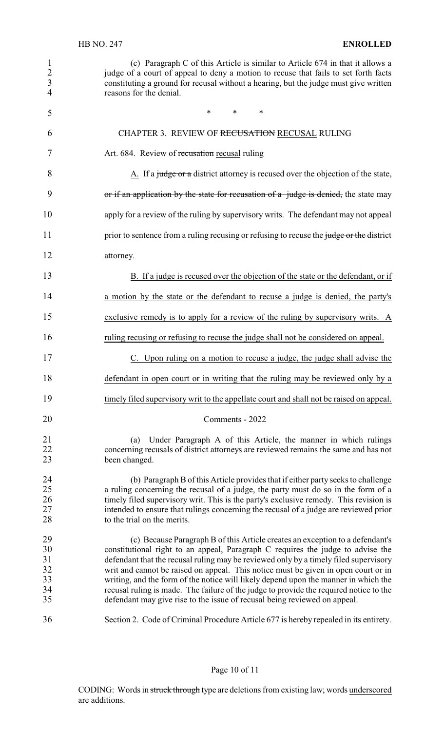| $\mathbf{1}$<br>$\frac{2}{3}$<br>$\overline{4}$ | (c) Paragraph C of this Article is similar to Article 674 in that it allows a<br>judge of a court of appeal to deny a motion to recuse that fails to set forth facts<br>constituting a ground for recusal without a hearing, but the judge must give written<br>reasons for the denial.                                                                                                                                                                                                                                                                                                                      |
|-------------------------------------------------|--------------------------------------------------------------------------------------------------------------------------------------------------------------------------------------------------------------------------------------------------------------------------------------------------------------------------------------------------------------------------------------------------------------------------------------------------------------------------------------------------------------------------------------------------------------------------------------------------------------|
| 5                                               | $*$ $*$<br>$\ast$<br>∗                                                                                                                                                                                                                                                                                                                                                                                                                                                                                                                                                                                       |
| 6                                               | CHAPTER 3. REVIEW OF RECUSATION RECUSAL RULING                                                                                                                                                                                                                                                                                                                                                                                                                                                                                                                                                               |
| 7                                               | Art. 684. Review of recusation recusal ruling                                                                                                                                                                                                                                                                                                                                                                                                                                                                                                                                                                |
| 8                                               | A. If a judge or a district attorney is recused over the objection of the state,                                                                                                                                                                                                                                                                                                                                                                                                                                                                                                                             |
| 9                                               | or if an application by the state for recusation of a judge is denied, the state may                                                                                                                                                                                                                                                                                                                                                                                                                                                                                                                         |
| 10                                              | apply for a review of the ruling by supervisory writs. The defendant may not appeal                                                                                                                                                                                                                                                                                                                                                                                                                                                                                                                          |
| 11                                              | prior to sentence from a ruling recusing or refusing to recuse the judge or the district                                                                                                                                                                                                                                                                                                                                                                                                                                                                                                                     |
| 12                                              | attorney.                                                                                                                                                                                                                                                                                                                                                                                                                                                                                                                                                                                                    |
| 13                                              | B. If a judge is recused over the objection of the state or the defendant, or if                                                                                                                                                                                                                                                                                                                                                                                                                                                                                                                             |
| 14                                              | a motion by the state or the defendant to recuse a judge is denied, the party's                                                                                                                                                                                                                                                                                                                                                                                                                                                                                                                              |
| 15                                              | exclusive remedy is to apply for a review of the ruling by supervisory writs. A                                                                                                                                                                                                                                                                                                                                                                                                                                                                                                                              |
| 16                                              | ruling recusing or refusing to recuse the judge shall not be considered on appeal.                                                                                                                                                                                                                                                                                                                                                                                                                                                                                                                           |
| 17                                              | C. Upon ruling on a motion to recuse a judge, the judge shall advise the                                                                                                                                                                                                                                                                                                                                                                                                                                                                                                                                     |
| 18                                              | defendant in open court or in writing that the ruling may be reviewed only by a                                                                                                                                                                                                                                                                                                                                                                                                                                                                                                                              |
| 19                                              | timely filed supervisory writ to the appellate court and shall not be raised on appeal.                                                                                                                                                                                                                                                                                                                                                                                                                                                                                                                      |
| 20                                              | Comments - 2022                                                                                                                                                                                                                                                                                                                                                                                                                                                                                                                                                                                              |
| 21<br>22<br>23                                  | Under Paragraph A of this Article, the manner in which rulings<br>(a)<br>concerning recusals of district attorneys are reviewed remains the same and has not<br>been changed.                                                                                                                                                                                                                                                                                                                                                                                                                                |
| 24<br>25<br>26<br>27<br>28                      | (b) Paragraph B of this Article provides that if either party seeks to challenge<br>a ruling concerning the recusal of a judge, the party must do so in the form of a<br>timely filed supervisory writ. This is the party's exclusive remedy. This revision is<br>intended to ensure that rulings concerning the recusal of a judge are reviewed prior<br>to the trial on the merits.                                                                                                                                                                                                                        |
| 29<br>30<br>31<br>32<br>33<br>34<br>35          | (c) Because Paragraph B of this Article creates an exception to a defendant's<br>constitutional right to an appeal, Paragraph C requires the judge to advise the<br>defendant that the recusal ruling may be reviewed only by a timely filed supervisory<br>writ and cannot be raised on appeal. This notice must be given in open court or in<br>writing, and the form of the notice will likely depend upon the manner in which the<br>recusal ruling is made. The failure of the judge to provide the required notice to the<br>defendant may give rise to the issue of recusal being reviewed on appeal. |
| 36                                              | Section 2. Code of Criminal Procedure Article 677 is hereby repealed in its entirety.                                                                                                                                                                                                                                                                                                                                                                                                                                                                                                                        |